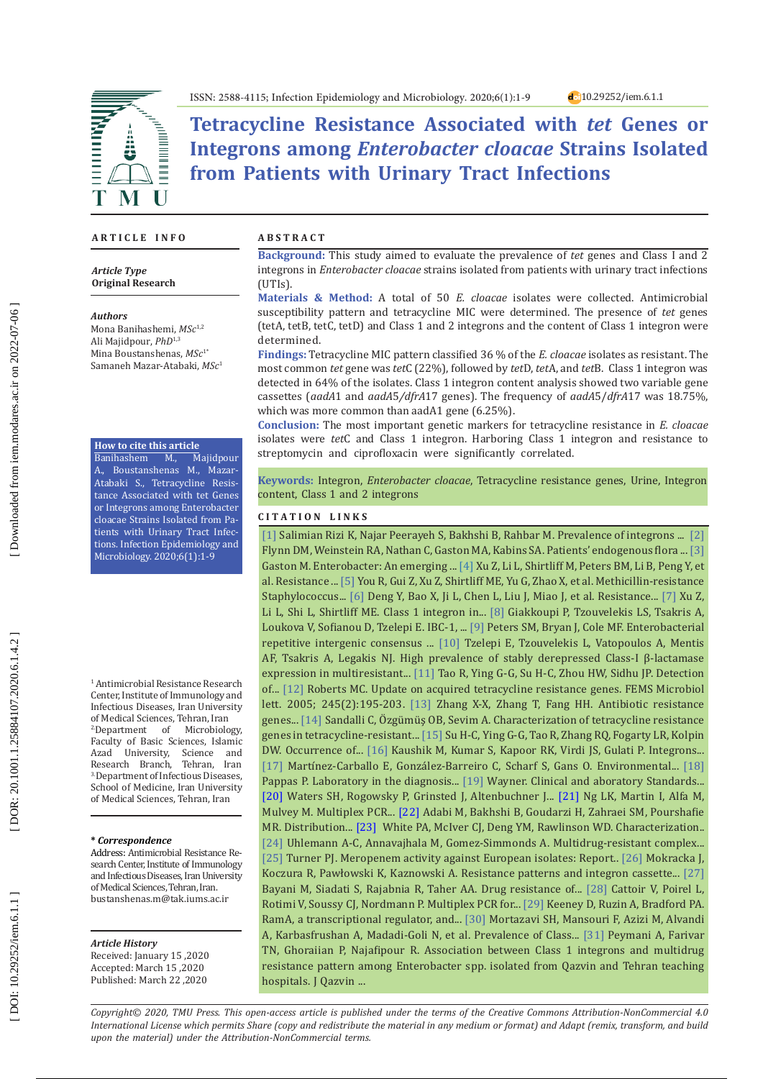d<sub>0</sub>10.29252/iem.6.1.1



**Tetracycline Resistance Associated with** *tet* **Genes or Integrons among** *Enterobacter cloacae* **Strains Isolated from Patients with Urinary Tract Infections**

## **A R T I C L E I N F O**

### *Article Type* **Original Research**

#### *Authors*

Mona Banihashemi, *MSc*1,2 Ali Majidpour, *PhD*1,3 Mina Boustanshenas, *MSc*1\* Samaneh Mazar-Atabaki, *MSc* 1

#### **How to cite this article**

Banihashem M., Majidpour A., Boustanshenas M., Mazar-Atabaki S., Tetracycline Resistance Associated with tet Genes or Integrons among Enterobacter cloacae Strains Isolated from Pa tients with Urinary Tract Infec tions. Infection Epidemiology and Microbiology. 2020;6(1):1-9

1 Antimicrobial Resistance Research Center, Institute of Immunology and Infectious Diseases, Iran University of Medical Sciences, Tehran, Iran<br><sup>2</sup>Department of Microbiology, 2.Department of Microbiology, Faculty of Basic Sciences, Islamic Azad University, Science and Research Branch, Tehran, Iran 3. Department of Infectious Diseases, School of Medicine, Iran University of Medical Sciences, Tehran, Iran

### **\*** *Correspondence*

Address: Antimicrobial Resistance Re search Center, Institute of Immunology and Infectious Diseases, Iran University of Medical Sciences, Tehran, Iran. bustanshenas.m@tak.iums.ac.ir

### *Article History*

Received: January 15 ,2020 Accepted: March 15 ,2020 Published: March 22 ,2020

### **A B S T R A C T**

**Background:** This study aimed to evaluate the prevalence of *tet* genes and Class I and 2 integrons in *Enterobacter cloacae* strains isolated from patients with urinary tract infections (UTIs).

**Materials & Method:** A total of 50 *E. cloacae* isolates were collected. Antimicrobial susceptibility pattern and tetracycline MIC were determined. The presence of *tet* genes (tetA, tetB, tetC, tetD) and Class 1 and 2 integrons and the content of Class 1 integron were determined.

**Findings:** Tetracycline MIC pattern classified 36 % of the *E. cloacae* isolates as resistant. The most common *tet* gene was *tet*C (22%), followed by *tet*D, *tet*A, and *tet*B. Class 1 integron was detected in 64% of the isolates. Class 1 integron content analysis showed two variable gene cassettes (*aadA*1 and *aadA* 5*/dfrA*17 genes). The frequency of *aadA*5/*dfrA*17 was 18.75%, which was more common than aadA1 gene (6.25%).

**Conclusion:** The most important genetic markers for tetracycline resistance in *E. cloacae* isolates were *tet*C and Class 1 integron. Harboring Class 1 integron and resistance to streptomycin and ciprofloxacin were significantly correlated.

**Keywords:** Integron, *Enterobacter cloacae*, Tetracycline resistance genes, Urine, Integron content, Class 1 and 2 integrons

## **C I T A T I O N L I N K S**

[1] Salimian Rizi K, Najar Peerayeh S, Bakhshi B, Rahbar M. Prevalence of integrons ... [\[2\]](https://academic.oup.com/jid/article-abstract/156/2/363/817545) Flynn DM, Weinstein RA, Nathan C, Gaston MA, Kabins SA. Patients' endogenous flora ... [\[3\]](https://www.sciencedirect.com/science/article/abs/pii/0195670188900989) Gaston M. Enterobacter: An emerging ... [\[4\]](https://www.sciencedirect.com/science/article/pii/S1198743X15602646) Xu Z, Li L, Shirtliff M, Peters BM, Li B, Peng Y, et al. Resistance ... [\[5\]](http://citeseerx.ist.psu.edu/viewdoc/download?doi=10.1.1.1009.2761&rep=rep1&type=pdf) You R, Gui Z, Xu Z, Shirtliff ME, Yu G, Zhao X, et al. Methicillin-resistance Staphylococcus... [\[6\]](https://link.springer.com/article/10.1186/s12941-015-0100-6) Deng Y, Bao X, Ji L, Chen L, Liu J, Miao J, et al. Resistance... [\[7\]](https://link.springer.com/article/10.1007/s11033-011-0676-7) Xu Z, Li L, Shi L, Shirtliff ME. Class 1 integron in... [\[8\]](https://aac.asm.org/content/44/9/2247.short) Giakkoupi P, Tzouvelekis LS, Tsakris A, Loukova V, Sofianou D, Tzelepi E. IBC-1, ... [\[9\]](https://www.sciencedirect.com/science/article/abs/pii/S0196655300900208) Peters SM, Bryan J, Cole MF. Enterobacterial repetitive intergenic consensus ... [\[10\]](https://www.microbiologyresearch.org/content/journal/jmm/10.1099/00222615-37-2-91) Tzelepi E, Tzouvelekis L, Vatopoulos A, Mentis AF, Tsakris A, Legakis NJ. High prevalence of stably derepressed Class-I β-lactamase expression in multiresistant... [\[11\]](https://www.sciencedirect.com/science/article/pii/S0269749110000928) Tao R, Ying G-G, Su H-C, Zhou HW, Sidhu JP. Detection of... [\[12\]](https://academic.oup.com/femsle/article/245/2/195/561759) Roberts MC. Update on acquired tetracycline resistance genes. FEMS Microbiol lett. 2005; 245(2):195-203[. \[13\]](https://link.springer.com/article/10.1007/s00253-008-1829-z) Zhang X-X, Zhang T, Fang HH. Antibiotic resistance genes... [\[14\]](https://link.springer.com/article/10.1007/s11274-010-0381-z) Sandalli C, Özgümüş ÖB, Sevim A. Characterization of tetracycline resistance genes in tetracycline-resistant... [\[15\]](https://pubs.rsc.org/lv/content/articlelanding/2011/em/c1em10634a/unauth#!divAbstract) Su H-C, Ying G-G, Tao R, Zhang RQ, Fogarty LR, Kolpin DW. Occurrence of... [\[16\]](https://www.sciencedirect.com/science/article/abs/pii/S0924857917303680) Kaushik M, Kumar S, Kapoor RK, Virdi JS, Gulati P. Integrons...  $[17]$  Martinez-Carballo E, González-Barreiro C, Scharf S, Gans O. Environmental...  $[18]$ Pappas P. Laboratory in the diagnosis... [\[19\]](https://www.sid.ir/en/Journal/ViewPaper.aspx?ID=450165) Wayner. Clinical and aboratory Standards... [\[20\]](https://pubmed.ncbi.nlm.nih.gov/6310527/) Waters SH, Rogowsky P, Grinsted J, Altenbuchner J... [\[21\]](https://pubmed.ncbi.nlm.nih.gov/11513555/) Ng LK, Martin I, Alfa M, Mulvey M. Multiplex PCR... [\[22\]](https://pubmed.ncbi.nlm.nih.gov/19728775/) Adabi M, Bakhshi B, Goudarzi H, Zahraei SM, Pourshafie MR. Distribution... [\[23\]](https://pubmed.ncbi.nlm.nih.gov/10620677/) White PA, McIver CJ, Deng YM, Rawlinson WD. Characterization.. [\[24\]](https://www.frontiersin.org/articles/10.3389/fmicb.2019.00044/full) Uhlemann A-C, Annavajhala M, Gomez-Simmonds A. Multidrug-resistant complex... [\[25\] T](https://www.sciencedirect.com/science/article/abs/pii/S0732889307003938)urner PJ. Meropenem activity against European isolates: Report.. [\[26\]](https://www.microbiologyresearch.org/content/journal/jmm/10.1099/jmm.0.027979-0) Mokracka J, Koczura R, Pawłowski K, Kaznowski A. Resistance patterns and integron cassette... [\[27\]](https://www.ncbi.nlm.nih.gov/pmc/articles/PMC3927384/) Bayani M, Siadati S, Rajabnia R, Taher AA. Drug resistance of... [\[28\]](https://academic.oup.com/jac/article/60/2/394/714189) Cattoir V, Poirel L, Rotimi V, Soussy CJ, Nordmann P. Multiplex PCR for... [\[29\]](https://www.liebertpub.com/doi/abs/10.1089/mdr.2006.9990) Keeney D, Ruzin A, Bradford PA. RamA, a transcriptional regulator, and... [\[30\]](https://www.jcdr.net/articles/PDF/12396/37826_CE[Ra1]_F\(RK\)_PF1\(AGAK\)_PFA\(AK\)_PB\(AG_KM\)_PN\(SL\).pdf) Mortazavi SH, Mansouri F, Azizi M, Alvandi A, Karbasfrushan A, Madadi-Goli N, et al. Prevalence of Class... [\[31\]](http://journal.qums.ac.ir/article-1-1557-en.pdf) Peymani A, Farivar TN, Ghoraiian P, Najafipour R. Association between Class 1 integrons and multidrug resistance pattern among Enterobacter spp. isolated from Qazvin and Tehran teaching hospitals. J Qazvin ...

*Copyright© 2020, TMU Press. This open-access article is published under the terms of the Creative Commons Attribution-NonCommercial 4.0 International License which permits Share (copy and redistribute the material in any medium or format) and Adapt (remix, transform, and build upon the material) under the Attribution-NonCommercial terms.*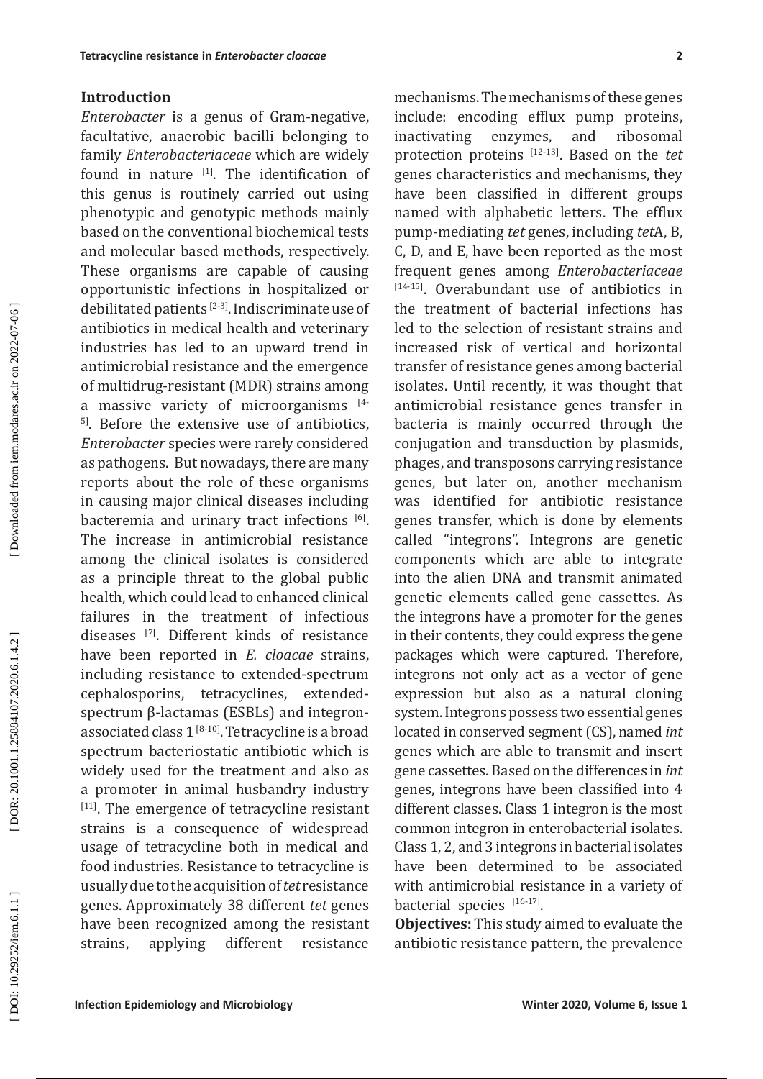# **Introduction**

**Intrapoles resistance in** *Loterobecte theore* **in the<br>charge state and Latitude Concolling equitare and the concolling transmission of the<br>method and Microbiology in Microbiology in matching the state of the formula formu** *Enterobacter* is a genus of Gram-negative, facultative, anaerobic bacilli belonging to family *Enterobacteriaceae* which are widely found in nature <sup>[1]</sup>. The identification of this genus is routinely carried out using phenotypic and genotypic methods mainly based on the conventional biochemical tests and molecular based methods, respectively. These organisms are capable of causing opportunistic infections in hospitalized or debilitated patients [ 2 - 3 ] . Indiscriminate use of antibiotics in medical health and veterinary industries has led to an upward trend in antimicrobial resistance and the emergence of multidrug-resistant (MDR) strains among a massive variety of microorganisms  $14$ <sup>51</sup>. Before the extensive use of antibiotics, *Enterobacter* species were rarely considered as pathogens. But nowadays, there are many reports about the role of these organisms in causing major clinical diseases including bacteremia and urinary tract infections  $[6]$ . The increase in antimicrobial resistance among the clinical isolates is considered as a principle threat to the global public health, which could lead to enhanced clinical failures in the treatment of infectious diseases  $\frac{1}{1}$ . Different kinds of resistance have been reported in *E. cloacae* strains, including resistance to extended-spectrum cephalosporins, tetracyclines, extendedspectrum β-lactamas (ESBLs) and integronassociated class  $1^{[8-10]}$ . Tetracycline is a broad spectrum bacteriostatic antibiotic which is widely used for the treatment and also as<br>a promoter in animal husbandry industry a promoter in animal husbandry industry<br><sup>[11]</sup>. The emergence of tetracycline resistant strains is a consequence of widespread usage of tetracycline both in medical and food industries. Resistance to tetracycline is usually due to the acquisition of *tet* resistance genes. Approximately 38 different *tet* genes have been recognized among the resistant strains, applying different resistance

mechanisms. The mechanisms of these genes include: encoding efflux pump proteins, inactivating enzymes, and ribosomal protection proteins [12 -13 ] . Based on the *tet* genes characteristics and mechanisms, they have been classified in different groups named with alphabetic letters. The efflux pump-mediating *tet* genes, including *tet*A, B, C, D, and E, have been reported as the most frequent genes among *Enterobacteriaceae*  $[14-15]$ . Overabundant use of antibiotics in the treatment of bacterial infections has led to the selection of resistant strains and increased risk of vertical and horizontal transfer of resistance genes among bacterial isolates. Until recently, it was thought that antimicrobial resistance genes transfer in bacteria is mainly occurred through the conjugation and transduction by plasmids, phages, and transposons carrying resistance genes, but later on, another mechanism was identified for antibiotic resistance genes transfer, which is done by elements called "integrons". Integrons are genetic components which are able to integrate into the alien DNA and transmit animated genetic elements called gene cassettes. As the integrons have a promoter for the genes in their contents, they could express the gene packages which were captured. Therefore, integrons not only act as a vector of gene expression but also as a natural cloning system. Integrons possess two essential genes located in conserved segment (CS), named *int* genes which are able to transmit and insert gene cassettes. Based on the differences in *int* genes, integrons have been classified into 4 different classes. Class 1 integron is the most common integron in enterobacterial isolates. Class 1, 2, and 3 integrons in bacterial isolates have been determined to be associated with antimicrobial resistance in a variety of bacterial species  $[16-17]$ .

**Objectives:** This study aimed to evaluate the antibiotic resistance pattern, the prevalence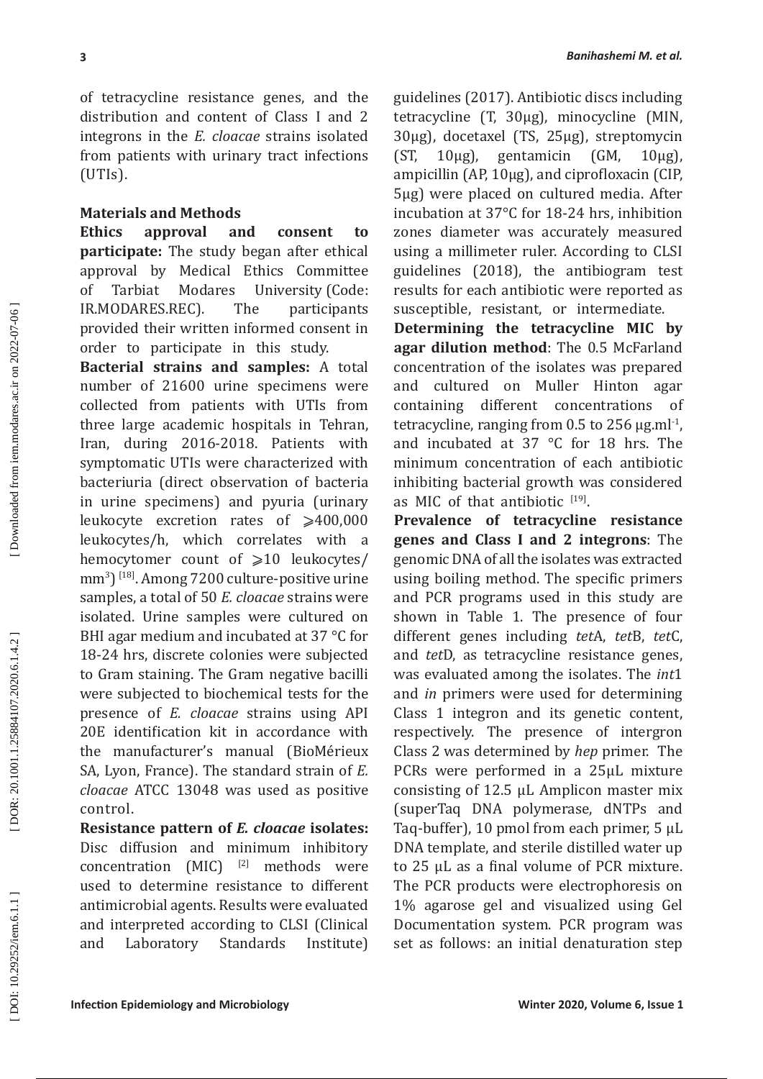of tetracycline resistance genes, and the distribution and content of Class I and 2 integrons in the *E. cloacae* strains isolated from patients with urinary tract infections (UTIs).

## **Materials and Methods**

**Ethics approval and consent to participate:** The study began after ethical approval by Medical Ethics Committee of Tarbiat Modares University (Code: IR.MODARES.REC). The participants provided their written informed consent in order to participate in this study.

**Inferiority in the station of the station of the stationary and the stationary and the stationary and particular control (UV). Anoning the stationary and the stationary and the stationary and the stationary and the statio Bacterial strains and samples:** A total number of 21600 urine specimens were collected from patients with UTIs from three large academic hospitals in Tehran, Iran, during 2016-2018. Patients with symptomatic UTIs were characterized with bacteriuria (direct observation of bacteria in urine specimens) and pyuria (urinary leukocyte excretion rates of  $\geqslant$ 400,000 leukocytes/h, which correlates with a hemocytomer count of ⩾10 leukocytes/ mm 3 ) [18 ] . Among 7200 culture-positive urine samples, a total of 50 *E. cloacae* strains were isolated. Urine samples were cultured on BHI agar medium and incubated at 37 °C for 18-24 hrs, discrete colonies were subjected to Gram staining. The Gram negative bacilli were subjected to biochemical tests for the presence of *E. cloacae* strains using API 20E identification kit in accordance with the manufacturer's manual (BioMérieux SA, Lyon, France). The standard strain of *E. cloacae* ATCC 13048 was used as positive control.

**Resistance pattern of** *E. cloacae* **isolates:**  Disc diffusion and minimum inhibitory  $concentration$   $(MIC)$   $^{[2]}$  methods were used to determine resistance to different antimicrobial agents. Results were evaluated and interpreted according to CLSI (Clinical and Laboratory Standards Institute)

guidelines (2017). Antibiotic discs including tetracycline (T, 30μg), minocycline (MIN,  $30\mu$ g), docetaxel (TS, 25 $\mu$ g), streptomycin (ST, 10 $\mu$ g), gentamicin (GM, 10 $\mu$ g).  $10\mu$ g), gentamicin (GM,  $10\mu$ g), ampicillin (AP, 10μg), and ciprofloxacin (CIP, 5μg) were placed on cultured media. After incubation at 37°C for 18-24 hrs, inhibition zones diameter was accurately measured using a millimeter ruler. According to CLSI guidelines (2018), the antibiogram test results for each antibiotic were reported as susceptible, resistant, or intermediate.

**Determining the tetracycline MIC by agar dilution method**: The 0.5 McFarland concentration of the isolates was prepared and cultured on Muller Hinton agar containing different concentrations of tetracycline, ranging from 0.5 to 256  $\mu$ g.ml<sup>-1</sup> and incubated at 37 °C for 18 hrs. The minimum concentration of each antibiotic inhibiting bacterial growth was considered as MIC of that antibiotic  $[19]$ .

**Prevalence of tetracycline resistance genes and Class I and 2 integrons**: The genomic DNA of all the isolates was extracted using boiling method. The specific primers and PCR programs used in this study are shown in Table 1. The presence of four different genes including *tet*A, *tet*B, *tet*C, and *tet*D, as tetracycline resistance genes, was evaluated among the isolates. The *int*1 and *in* primers were used for determining Class 1 integron and its genetic content, respectively. The presence of intergron Class 2 was determined by *hep* primer. The PCRs were performed in a 25μL mixture consisting of 12.5 μL Amplicon master mix (superTaq DNA polymerase, dNTPs and Taq-buffer), 10 pmol from each primer, 5 μL DNA template, and sterile distilled water up to 25 μL as a final volume of PCR mixture. The PCR products were electrophoresis on 1% agarose gel and visualized using Gel Documentation system. PCR program was set as follows: an initial denaturation step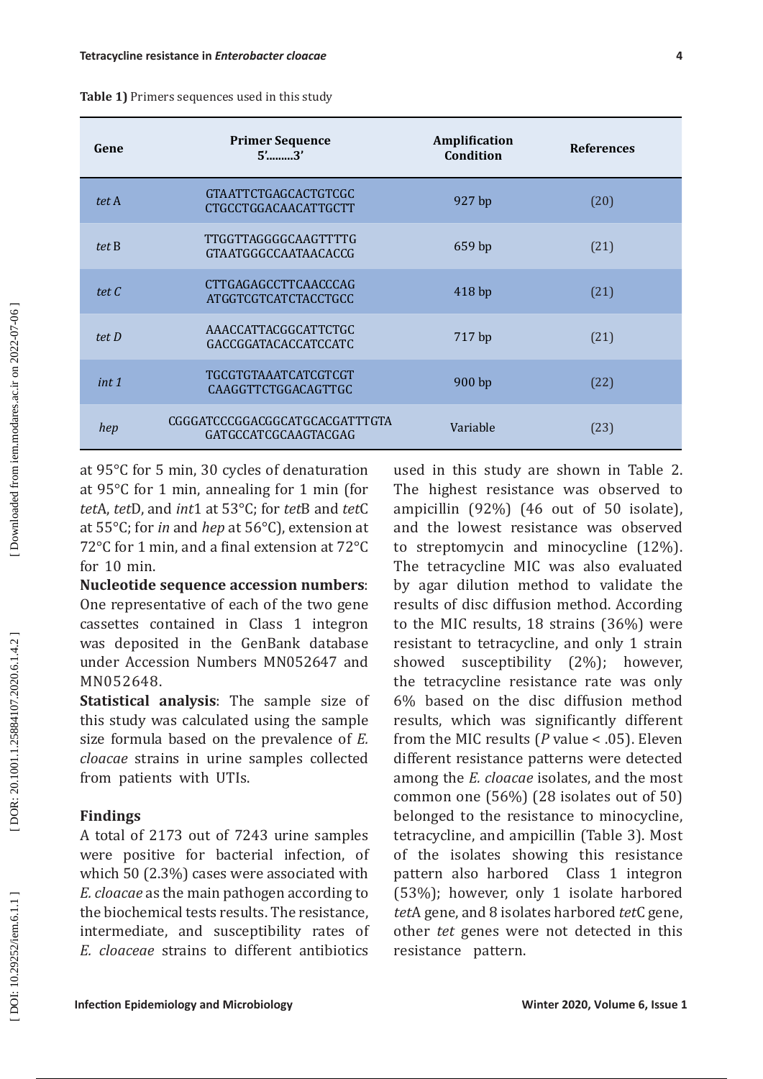| Gene                                        | <b>Primer Sequence</b><br>$5'$ 3'                                                                                                                                                                                                                                                                                                                                                                                                                                                                                                                                                                                                                                                                                                                                                                                                                                                                                                                                                                                       | Amplification<br>Condition                                                                                                                                                                                                                                                                                                                                                                                                                                                                                                                                                                                                                                                                                                                                                                                                                                                                                                                                                                                                                                                                                      | <b>References</b>             |  |
|---------------------------------------------|-------------------------------------------------------------------------------------------------------------------------------------------------------------------------------------------------------------------------------------------------------------------------------------------------------------------------------------------------------------------------------------------------------------------------------------------------------------------------------------------------------------------------------------------------------------------------------------------------------------------------------------------------------------------------------------------------------------------------------------------------------------------------------------------------------------------------------------------------------------------------------------------------------------------------------------------------------------------------------------------------------------------------|-----------------------------------------------------------------------------------------------------------------------------------------------------------------------------------------------------------------------------------------------------------------------------------------------------------------------------------------------------------------------------------------------------------------------------------------------------------------------------------------------------------------------------------------------------------------------------------------------------------------------------------------------------------------------------------------------------------------------------------------------------------------------------------------------------------------------------------------------------------------------------------------------------------------------------------------------------------------------------------------------------------------------------------------------------------------------------------------------------------------|-------------------------------|--|
| tet A                                       | <b>GTAATTCTGAGCACTGTCGC</b><br>CTGCCTGGACAACATTGCTT                                                                                                                                                                                                                                                                                                                                                                                                                                                                                                                                                                                                                                                                                                                                                                                                                                                                                                                                                                     | 927 bp                                                                                                                                                                                                                                                                                                                                                                                                                                                                                                                                                                                                                                                                                                                                                                                                                                                                                                                                                                                                                                                                                                          | (20)                          |  |
| tet B                                       | TTGGTTAGGGGCAAGTTTTG<br>GTAATGGGCCAATAACACCG                                                                                                                                                                                                                                                                                                                                                                                                                                                                                                                                                                                                                                                                                                                                                                                                                                                                                                                                                                            | 659 bp                                                                                                                                                                                                                                                                                                                                                                                                                                                                                                                                                                                                                                                                                                                                                                                                                                                                                                                                                                                                                                                                                                          | (21)                          |  |
| tet C                                       | CTTGAGAGCCTTCAACCCAG<br>ATGGTCGTCATCTACCTGCC                                                                                                                                                                                                                                                                                                                                                                                                                                                                                                                                                                                                                                                                                                                                                                                                                                                                                                                                                                            | 418 bp                                                                                                                                                                                                                                                                                                                                                                                                                                                                                                                                                                                                                                                                                                                                                                                                                                                                                                                                                                                                                                                                                                          | (21)                          |  |
| tet D                                       | AAACCATTACGGCATTCTGC<br>GACCGGATACACCATCCATC                                                                                                                                                                                                                                                                                                                                                                                                                                                                                                                                                                                                                                                                                                                                                                                                                                                                                                                                                                            | 717 bp                                                                                                                                                                                                                                                                                                                                                                                                                                                                                                                                                                                                                                                                                                                                                                                                                                                                                                                                                                                                                                                                                                          | (21)                          |  |
| int 1                                       | TGCGTGTAAATCATCGTCGT<br>CAAGGTTCTGGACAGTTGC                                                                                                                                                                                                                                                                                                                                                                                                                                                                                                                                                                                                                                                                                                                                                                                                                                                                                                                                                                             | 900 bp                                                                                                                                                                                                                                                                                                                                                                                                                                                                                                                                                                                                                                                                                                                                                                                                                                                                                                                                                                                                                                                                                                          | (22)                          |  |
| hep                                         | CGGGATCCCGGACGGCATGCACGATTTGTA<br>GATGCCATCGCAAGTACGAG                                                                                                                                                                                                                                                                                                                                                                                                                                                                                                                                                                                                                                                                                                                                                                                                                                                                                                                                                                  | Variable                                                                                                                                                                                                                                                                                                                                                                                                                                                                                                                                                                                                                                                                                                                                                                                                                                                                                                                                                                                                                                                                                                        | (23)                          |  |
| for 10 min.<br>MN052648.<br><b>Findings</b> | at 95°C for 1 min, annealing for 1 min (for<br>tetA, tetD, and int1 at 53°C; for tetB and tetC<br>at $55^{\circ}$ C; for <i>in</i> and <i>hep</i> at $56^{\circ}$ C), extension at<br>72°C for 1 min, and a final extension at 72°C<br><b>Nucleotide sequence accession numbers:</b><br>One representative of each of the two gene<br>cassettes contained in Class 1 integron<br>was deposited in the GenBank database<br>under Accession Numbers MN052647 and<br>Statistical analysis: The sample size of<br>this study was calculated using the sample<br>size formula based on the prevalence of E.<br>cloacae strains in urine samples collected<br>from patients with UTIs.<br>A total of 2173 out of 7243 urine samples<br>were positive for bacterial infection, of<br>which 50 (2.3%) cases were associated with<br>E. cloacae as the main pathogen according to<br>the biochemical tests results. The resistance,<br>intermediate, and susceptibility rates of<br>E. cloaceae strains to different antibiotics | The highest resistance was observed to<br>ampicillin (92%) (46 out of 50 isolate),<br>and the lowest resistance was observed<br>to streptomycin and minocycline (12%).<br>The tetracycline MIC was also evaluated<br>by agar dilution method to validate the<br>results of disc diffusion method. According<br>to the MIC results, 18 strains (36%) were<br>resistant to tetracycline, and only 1 strain<br>showed<br>the tetracycline resistance rate was only<br>6% based on the disc diffusion method<br>results, which was significantly different<br>from the MIC results ( $P$ value < .05). Eleven<br>different resistance patterns were detected<br>among the <i>E. cloacae</i> isolates, and the most<br>common one $(56%)$ (28 isolates out of 50)<br>belonged to the resistance to minocycline,<br>tetracycline, and ampicillin (Table 3). Most<br>of the isolates showing this resistance<br>pattern also harbored Class 1 integron<br>(53%); however, only 1 isolate harbored<br>tetA gene, and 8 isolates harbored tetC gene,<br>other tet genes were not detected in this<br>resistance pattern. | susceptibility (2%); however, |  |

| <b>Table 1)</b> Primers sequences used in this study |
|------------------------------------------------------|
|                                                      |

## **Findings**

DOR: 20.1001.1.25884107.2020.6.1.4.2

Downloaded from iem.modares.ac.ir on 2022-07-06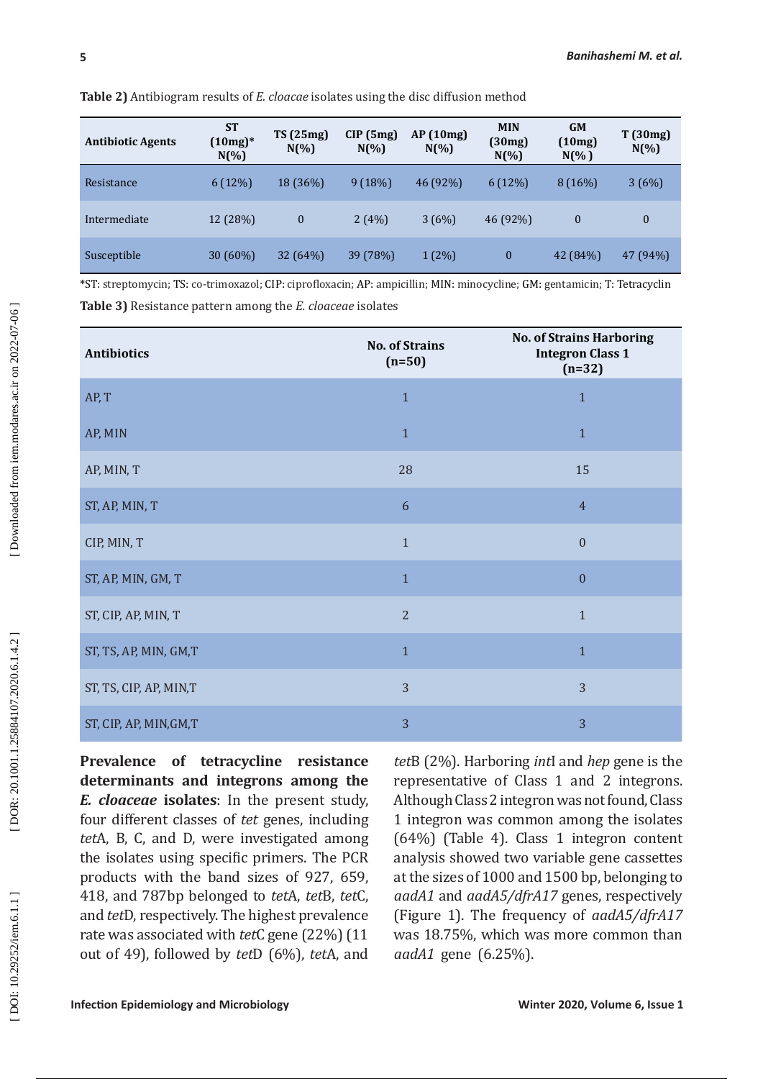| <b>Antibiotic Agents</b>  | <b>ST</b><br>$(10mg)^*$<br>$N(\%)$ | TS(25mg)<br>$N(\% )$        | CIP(5mg)<br>$N(\%)$ | AP(10mg)<br>$N(\%)$                                     | <b>MIN</b><br>(30mg)<br>$N(\%)$ | <b>GM</b><br>(10mg)<br>$N(\% )$ | T(30mg)<br>$N(\% )$         |
|---------------------------|------------------------------------|-----------------------------|---------------------|---------------------------------------------------------|---------------------------------|---------------------------------|-----------------------------|
| Resistance                | 6(12%)                             | 18 (36%)                    | 9(18%)              | 46 (92%)                                                | 6(12%)                          | 8(16%)                          | 3(6%)                       |
| Intermediate              | 12 (28%)                           | $\boldsymbol{0}$            | 2(4%)               | 3(6%)                                                   | 46 (92%)                        | $\overline{0}$                  | $\mathbf{0}$                |
| Susceptible               | 30 (60%)                           | 32(64%)                     | 39 (78%)            | $1(2\%)$                                                | $\mathbf{0}$                    | 42 (84%)                        | 47 (94%)                    |
| <b>JACOTTI</b><br>ma<br>. |                                    | 1.01 <sub>D</sub><br>$\sim$ | $\sqrt{2}$          | $\cdot$ $\cdot$ $\cdot$ $\cdot$ $\cdot$<br><b>BETBY</b> | $\cdots$<br>$\sim$ $\sim$       | $\sim$ $\sim$                   | $\mathbf{m}$ $\mathbf{m}$ . |

**Table 2)** Antibiogram results of *E. cloacae* isolates using the disc diffusion method

| <b>Antibiotic Agents</b>                                                                                                                                                                                                                                                                                                                                                                                                    | <b>ST</b><br>$(10mg)*$<br>$N(\% )$ | <b>TS</b> (25mg)<br>$N(\%)$ | CIP(5mg)<br>$N(\%)$ | AP (10mg)<br>$N(\%)$                                                                                                                                                                                                                                                                                                                                                                                                                               | <b>MIN</b><br>(30mg)<br>$N(\%)$        | <b>GM</b><br>(10mg)<br>$N(\% )$ | T (30mg)<br>$N(\% )$ |
|-----------------------------------------------------------------------------------------------------------------------------------------------------------------------------------------------------------------------------------------------------------------------------------------------------------------------------------------------------------------------------------------------------------------------------|------------------------------------|-----------------------------|---------------------|----------------------------------------------------------------------------------------------------------------------------------------------------------------------------------------------------------------------------------------------------------------------------------------------------------------------------------------------------------------------------------------------------------------------------------------------------|----------------------------------------|---------------------------------|----------------------|
| Resistance                                                                                                                                                                                                                                                                                                                                                                                                                  | 6(12%)                             | 18 (36%)                    | 9(18%)              | 46 (92%)                                                                                                                                                                                                                                                                                                                                                                                                                                           | 6(12%)                                 | 8 (16%)                         | 3(6%)                |
| Intermediate                                                                                                                                                                                                                                                                                                                                                                                                                | 12 (28%)                           | $\mathbf{0}$                | 2(4%)               | 3(6%)                                                                                                                                                                                                                                                                                                                                                                                                                                              | 46 (92%)                               | $\boldsymbol{0}$                | $\boldsymbol{0}$     |
| Susceptible                                                                                                                                                                                                                                                                                                                                                                                                                 | 30 (60%)                           | 32(64%)                     | 39 (78%)            | $1(2\%)$                                                                                                                                                                                                                                                                                                                                                                                                                                           | $\bf{0}$                               | 42 (84%)                        | 47 (94%)             |
| *ST: streptomycin; TS: co-trimoxazol; CIP: ciprofloxacin; AP: ampicillin; MIN: minocycline; GM: gentamicin; T: Tetracyclin<br>Table 3) Resistance pattern among the E. cloaceae isolates                                                                                                                                                                                                                                    |                                    |                             |                     |                                                                                                                                                                                                                                                                                                                                                                                                                                                    |                                        |                                 |                      |
| <b>Antibiotics</b>                                                                                                                                                                                                                                                                                                                                                                                                          |                                    |                             |                     | <b>No. of Strains Harboring</b><br><b>No. of Strains</b><br><b>Integron Class 1</b><br>$(n=50)$<br>$(n=32)$                                                                                                                                                                                                                                                                                                                                        |                                        |                                 |                      |
| AP, T                                                                                                                                                                                                                                                                                                                                                                                                                       |                                    |                             |                     | $\mathbf{1}$                                                                                                                                                                                                                                                                                                                                                                                                                                       |                                        | $\mathbf{1}$                    |                      |
| AP, MIN                                                                                                                                                                                                                                                                                                                                                                                                                     |                                    |                             |                     | $\mathbf{1}$                                                                                                                                                                                                                                                                                                                                                                                                                                       |                                        | $\mathbf{1}$                    |                      |
| AP, MIN, T                                                                                                                                                                                                                                                                                                                                                                                                                  |                                    |                             |                     | 28                                                                                                                                                                                                                                                                                                                                                                                                                                                 |                                        | 15                              |                      |
| ST, AP, MIN, T                                                                                                                                                                                                                                                                                                                                                                                                              |                                    |                             |                     | 6                                                                                                                                                                                                                                                                                                                                                                                                                                                  |                                        | $\overline{4}$                  |                      |
| CIP, MIN, T                                                                                                                                                                                                                                                                                                                                                                                                                 |                                    |                             |                     | $\mathbf{0}$<br>$\mathbf{1}$                                                                                                                                                                                                                                                                                                                                                                                                                       |                                        |                                 |                      |
| ST, AP, MIN, GM, T                                                                                                                                                                                                                                                                                                                                                                                                          |                                    |                             |                     | $\boldsymbol{0}$<br>$\mathbf{1}$                                                                                                                                                                                                                                                                                                                                                                                                                   |                                        |                                 |                      |
| ST, CIP, AP, MIN, T                                                                                                                                                                                                                                                                                                                                                                                                         |                                    |                             |                     | $\overline{2}$<br>$\mathbf{1}$                                                                                                                                                                                                                                                                                                                                                                                                                     |                                        |                                 |                      |
| ST, TS, AP, MIN, GM,T                                                                                                                                                                                                                                                                                                                                                                                                       |                                    |                             |                     | $\mathbf{1}$<br>$\mathbf{1}$                                                                                                                                                                                                                                                                                                                                                                                                                       |                                        |                                 |                      |
| ST, TS, CIP, AP, MIN,T                                                                                                                                                                                                                                                                                                                                                                                                      |                                    |                             |                     | 3                                                                                                                                                                                                                                                                                                                                                                                                                                                  |                                        | 3                               |                      |
| ST, CIP, AP, MIN, GM, T                                                                                                                                                                                                                                                                                                                                                                                                     |                                    |                             |                     | 3                                                                                                                                                                                                                                                                                                                                                                                                                                                  |                                        | 3                               |                      |
| Prevalence of tetracycline resistance<br>determinants and integrons among the<br>E. cloaceae isolates: In the present study,<br>four different classes of tet genes, including<br>tetA, B, C, and D, were investigated among<br>the isolates using specific primers. The PCR<br>products with the band sizes of 927, 659,<br>418, and 787bp belonged to tetA, tetB, tetC,<br>and tetD, respectively. The highest prevalence |                                    |                             |                     | tetB (2%). Harboring <i>intl</i> and <i>hep</i> gene is the<br>representative of Class 1 and 2 integrons.<br>Although Class 2 integron was not found, Class<br>1 integron was common among the isolates<br>$(64%)$ (Table 4). Class 1 integron content<br>analysis showed two variable gene cassettes<br>at the sizes of 1000 and 1500 bp, belonging to<br>aadA1 and aadA5/dfrA17 genes, respectively<br>(Figure 1). The frequency of aadA5/dfrA17 | was 18.75%, which was more common than |                                 |                      |

DOI: 10.29252/iem.6.1.1]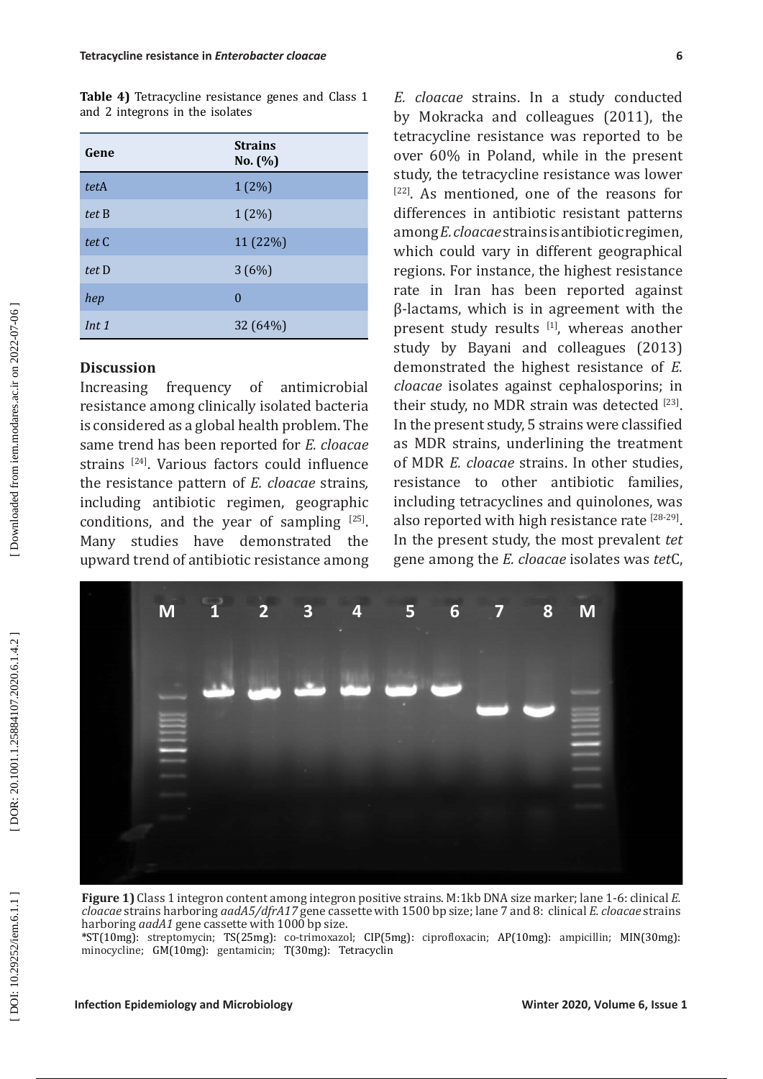**Table 4)** Tetracycline resistance genes and Class 1 and 2 integrons in the isolates

| Gene  | <b>Strains</b><br>No. $(\% )$ |
|-------|-------------------------------|
| tetA  | $1(2\%)$                      |
| tet B | $1(2\%)$                      |
| tet C | 11 (22%)                      |
| tet D | 3(6%)                         |
| hep   | 0                             |
| Int 1 | 32 (64%)                      |

# **Discussion**

Increasing frequency of antimicrobial resistance among clinically isolated bacteria is considered as a global health problem. The same trend has been reported for *E. cloacae* strains [ 24]. Various factors could influence the resistance pattern of *E. cloacae* strains*,* including antibiotic regimen, geographic conditions, and the year of sampling  $[25]$ . Many studies have demonstrated the upward trend of antibiotic resistance among

*E. cloacae* strains. In a study conducted by Mokracka and colleagues (2011), the tetracycline resistance was reported to be over 60% in Poland, while in the present study, the tetracycline resistance was lower study, the tetracycline resistance was lower<br><sup>[22]</sup>. As mentioned, one of the reasons for differences in antibiotic resistant patterns among *E. cloacae* strains is antibiotic regimen, which could vary in different geographical regions. For instance, the highest resistance rate in Iran has been reported against β-lactams, which is in agreement with the present study results  $[1]$ , whereas another study by Bayani and colleagues (2013) demonstrated the highest resistance of *E. cloacae* isolates against cephalosporins; in their study, no MDR strain was detected  $^{[23]}$ . In the present study, 5 strains were classified as MDR strains, underlining the treatment of MDR *E. cloacae* strains. In other studies, resistance to other antibiotic families, including tetracyclines and quinolones, was also reported with high resistance rate <sup>[28-29]</sup>. In the present study, the most prevalent *tet* gene among the *E. cloacae* isolates was *tet*C,



**Figure 1)** Class 1 integron content among integron positive strains. M:1kb DNA size marker; lane 1-6: clinical *E. cloacae* strains harboring *aadA5/dfrA17* gene cassette with 1500 bp size; lane 7 and 8: clinical *E. cloacae* strains

harboring *aadA1* gene cassette with 1000 bp size. **\***ST(10mg): streptomycin; TS(25mg): co-trimoxazol; CIP(5mg): ciprofloxacin; AP(10mg): ampicillin; MIN(30mg): minocycline; GM(10mg): gentamicin; T(30mg): Tetracyclin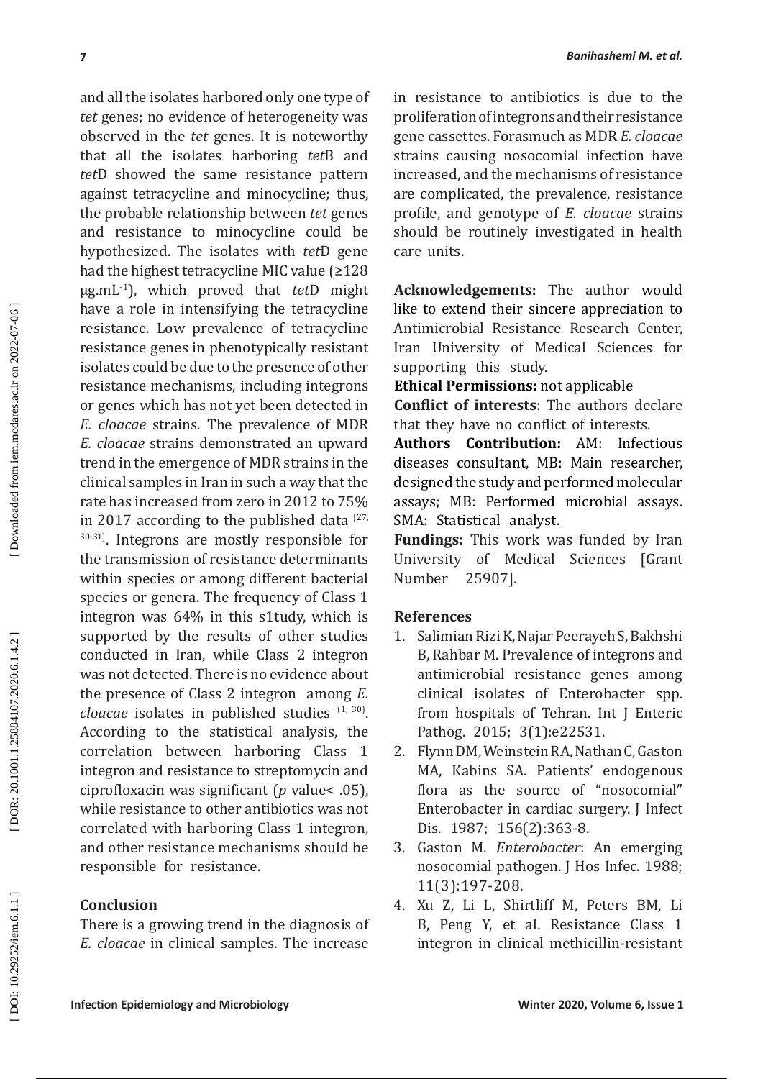**Inferior Solution Experimental Alternative Constraines and Solution of the set of the set of the set of the set of the set of the set of the set of the set of the set of the set of the set of the set of the set of the set** and all the isolates harbored only one type of *tet* genes; no evidence of heterogeneity was observed in the *tet* genes. It is noteworthy that all the isolates harboring *tet*B and *tet*D showed the same resistance pattern against tetracycline and minocycline; thus, the probable relationship between *tet* genes and resistance to minocycline could be hypothesized. The isolates with *tet*D gene had the highest tetracycline MIC value (≥128 μg.mL-1), which proved that *tet*D might have a role in intensifying the tetracycline resistance. Low prevalence of tetracycline resistance genes in phenotypically resistant isolates could be due to the presence of other resistance mechanisms, including integrons or genes which has not yet been detected in *E. cloacae* strains. The prevalence of MDR *E. cloacae* strains demonstrated an upward trend in the emergence of MDR strains in the clinical samples in Iran in such a way that the rate has increased from zero in 2012 to 75% in 2017 according to the published data  $127$ , 30-31]. Integrons are mostly responsible for the transmission of resistance determinants within species or among different bacterial species or genera. The frequency of Class 1 integron was 64% in this s1tudy, which is supported by the results of other studies conducted in Iran, while Class 2 integron was not detected. There is no evidence about the presence of Class 2 integron among *E.*   $\emph{cloacae}$  isolates in published studies  $(1, 30)$ . According to the statistical analysis, the correlation between harboring Class 1 integron and resistance to streptomycin and ciprofloxacin was significant ( *p* value< .05), while resistance to other antibiotics was not correlated with harboring Class 1 integron, and other resistance mechanisms should be responsible for resistance.

# **Conclusion**

There is a growing trend in the diagnosis of *E. cloacae* in clinical samples. The increase

in resistance to antibiotics is due to the proliferation of integrons and their resistance gene cassettes. Forasmuch as MDR *E. cloacae* strains causing nosocomial infection have increased, and the mechanisms of resistance are complicated, the prevalence, resistance profile, and genotype of *E. cloacae* strains should be routinely investigated in health care units.

**Acknowledgements:** The author would like to extend their sincere appreciation to Antimicrobial Resistance Research Center, Iran University of Medical Sciences for supporting this study.

**Ethical Permissions:** not applicable

**Conflict of interests**: The authors declare that they have no conflict of interests.

**Authors Contribution:** AM: Infectious diseases consultant, MB: Main researcher, designed the study and performed molecular assays; MB: Performed microbial assays. SMA: Statistical analyst.

**Fundings:** This work was funded by Iran University of Medical Sciences [Grant<br>Number 25907]. 25907].

## **References**

- 1. Salimian Rizi K, Najar Peerayeh S, Bakhshi B, Rahbar M. Prevalence of integrons and antimicrobial resistance genes among clinical isolates of Enterobacter spp. from hospitals of Tehran. Int J Enteric Pathog. 2015; 3(1):e22531.
- 2. Flynn DM, Weinstein RA, Nathan C, Gaston MA, Kabins SA. Patients' endogenous flora as the source of "nosocomial" Enterobacter in cardiac surgery. J Infect Dis. 1987; 156(2):363-8.
- 3. Gaston M. *Enterobacter*: An emerging nosocomial pathogen. J Hos Infec. 1988; 11(3):197-208.
- 4. Xu Z, Li L, Shirtliff M, Peters BM, Li B, Peng Y, et al. Resistance Class 1 integron in clinical methicillin -resistant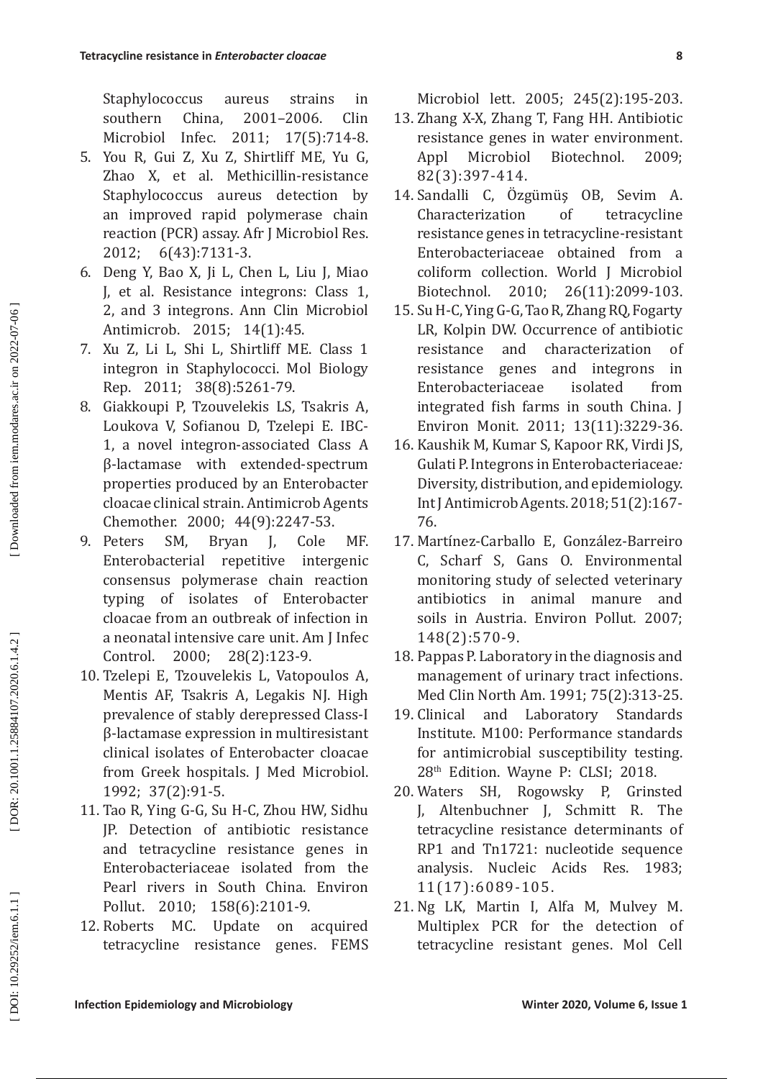Staphylococcus aureus strains in southern China, 2001–2006. Clin Microbiol Infec. 2011; 17(5):714-8.

- 5. You R, Gui Z, Xu Z, Shirtliff ME, Yu G, Zhao X, et al. Methicillin-resistance Staphylococcus aureus detection by an improved rapid polymerase chain reaction (PCR) assay. Afr J Microbiol Res. 2012; 6(43):7131-3.
- 6. Deng Y, Bao X, Ji L, Chen L, Liu J, Miao J, et al. Resistance integrons: Class 1, 2, and 3 integrons. Ann Clin Microbiol Antimicrob. 2015; 14(1):45.
- 7. Xu Z, Li L, Shi L, Shirtliff ME. Class 1 integron in Staphylococci. Mol Biology Rep. 2011; 38(8):5261-79.
- 8. Giakkoupi P, Tzouvelekis LS, Tsakris A, Loukova V, Sofianou D, Tzelepi E. IBC-1, a novel integron-associated Class A β-lactamase with extended-spectrum properties produced by an Enterobacter cloacae clinical strain. Antimicrob Agents Chemother. 2000; 44(9):2247-53.
- **IEACTION ENERGY (ENERGY AND THE COLUME CONTROVER COLUME 2005: 245(2): 926)**<br> **ISHUARG COLUME COLUME (ENERGY AND THE COLUME TO THE COLUME TO THE COLUME (NECRG COLUME TO THE COLUME COLUME COLUME TO THE COLUME COLUME COLUME** 9. Peters SM, Bryan J, Cole MF. Enterobacterial repetitive intergenic consensus polymerase chain reaction typing of isolates of Enterobacter cloacae from an outbreak of infection in a neonatal intensive care unit. Am J Infec Control. 2000; 28(2):123-9.
- 10. Tzelepi E, Tzouvelekis L, Vatopoulos A, Mentis AF, Tsakris A, Legakis NJ. High prevalence of stably derepressed Class-I β-lactamase expression in multiresistant clinical isolates of Enterobacter cloacae from Greek hospitals. J Med Microbiol. 1992; 37(2):91-5.
- 11. Tao R, Ying G-G, Su H-C, Zhou HW, Sidhu JP. Detection of antibiotic resistance and tetracycline resistance genes in Enterobacteriaceae isolated from the Pearl rivers in South China. Environ Pollut. 2010; 158(6):2101-9.
- 12. Roberts MC. Update on acquired tetracycline resistance genes. FEMS

Microbiol lett. 2005; 245(2):195-203.

- 13. Zhang X-X, Zhang T, Fang HH. Antibiotic resistance genes in water environment. Appl Microbiol Biotechnol. 2009; 82(3):397-414.
- 14. Sandallı C, Özgümüş ÖB, Sevim A. Characterization of tetracycline resistance genes in tetracycline-resistant Enterobacteriaceae obtained from a coliform collection. World J Microbiol Biotechnol. 2010; 26(11):2099-103.
- 15. Su H-C, Ying G-G, Tao R, Zhang RQ, Fogarty LR, Kolpin DW. Occurrence of antibiotic resistance and characterization of resistance genes and integrons in Enterobacteriaceae isolated from integrated fish farms in south China. J Environ Monit. 2011; 13(11):3229-36.
- 16. Kaushik M, Kumar S, Kapoor RK, Virdi JS, Gulati P. Integrons in Enterobacteriaceae *:* Diversity, distribution, and epidemiology. Int J Antimicrob Agents. 2018; 51(2):167- 76.
- 17. Martínez-Carballo E, González-Barreiro C, Scharf S, Gans O. Environmental monitoring study of selected veterinary antibiotics in animal manure and soils in Austria. Environ Pollut*.* 2007; 148(2):570-9.
- 18. Pappas P. Laboratory in the diagnosis and management of urinary tract infections. Med Clin North Am. 1991; 75(2):313-25.
- 19. Clinical and Laboratory Standards Institute. M100: Performance standards for antimicrobial susceptibility testing. 28<sup>th</sup> Edition. Wayne P: CLSI; 2018.
- 20. Waters SH, Rogowsky P, Grinsted J, Altenbuchner J, Schmitt R. The tetracycline resistance determinants of RP1 and Tn1721: nucleotide sequence analysis. Nucleic Acids Res. 1983; 11(17):6089-105.
- 21. Ng LK, Martin I, Alfa M, Mulvey M. Multiplex PCR for the detection of tetracycline resistant genes. Mol Cell

DOI: 10.29252/iem.6.1.1]